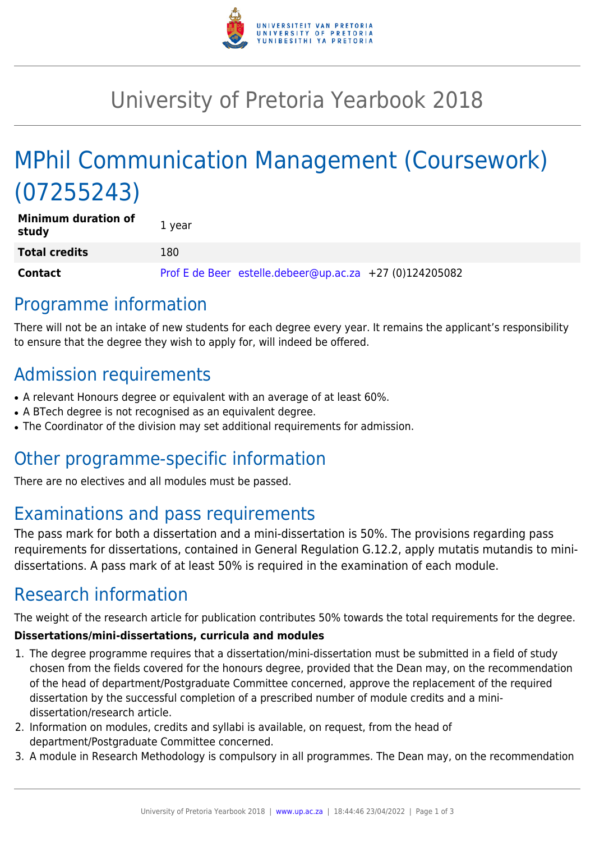

## University of Pretoria Yearbook 2018

# MPhil Communication Management (Coursework) (07255243)

| <b>Minimum duration of</b><br>study | 1 year                                                  |
|-------------------------------------|---------------------------------------------------------|
| <b>Total credits</b>                | 180                                                     |
| <b>Contact</b>                      | Prof E de Beer estelle.debeer@up.ac.za +27 (0)124205082 |

### Programme information

There will not be an intake of new students for each degree every year. It remains the applicant's responsibility to ensure that the degree they wish to apply for, will indeed be offered.

### Admission requirements

- A relevant Honours degree or equivalent with an average of at least 60%.
- A BTech degree is not recognised as an equivalent degree.
- The Coordinator of the division may set additional requirements for admission.

### Other programme-specific information

There are no electives and all modules must be passed.

### Examinations and pass requirements

The pass mark for both a dissertation and a mini-dissertation is 50%. The provisions regarding pass requirements for dissertations, contained in General Regulation G.12.2, apply mutatis mutandis to minidissertations. A pass mark of at least 50% is required in the examination of each module.

## Research information

The weight of the research article for publication contributes 50% towards the total requirements for the degree.

#### **Dissertations/mini-dissertations, curricula and modules**

- 1. The degree programme requires that a dissertation/mini-dissertation must be submitted in a field of study chosen from the fields covered for the honours degree, provided that the Dean may, on the recommendation of the head of department/Postgraduate Committee concerned, approve the replacement of the required dissertation by the successful completion of a prescribed number of module credits and a minidissertation/research article.
- 2. Information on modules, credits and syllabi is available, on request, from the head of department/Postgraduate Committee concerned.
- 3. A module in Research Methodology is compulsory in all programmes. The Dean may, on the recommendation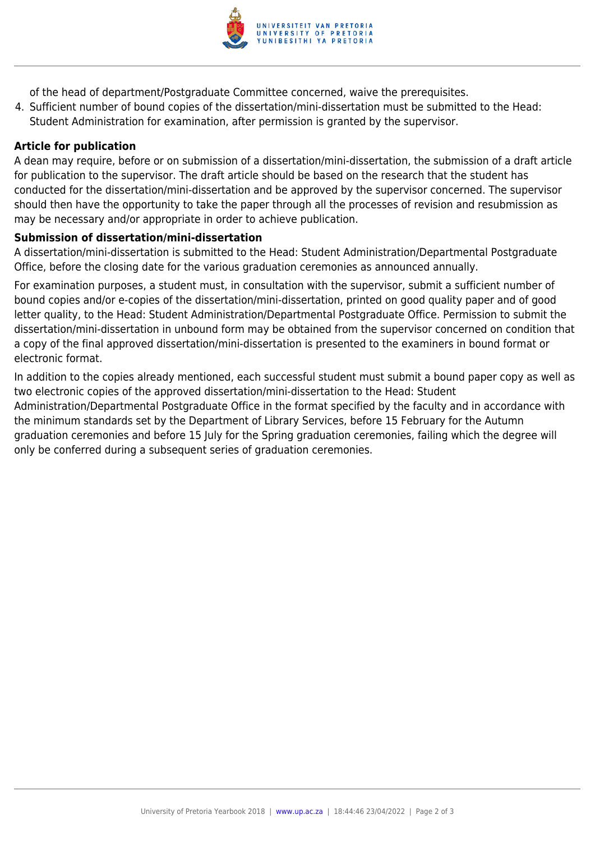

of the head of department/Postgraduate Committee concerned, waive the prerequisites.

4. Sufficient number of bound copies of the dissertation/mini-dissertation must be submitted to the Head: Student Administration for examination, after permission is granted by the supervisor.

#### **Article for publication**

A dean may require, before or on submission of a dissertation/mini-dissertation, the submission of a draft article for publication to the supervisor. The draft article should be based on the research that the student has conducted for the dissertation/mini-dissertation and be approved by the supervisor concerned. The supervisor should then have the opportunity to take the paper through all the processes of revision and resubmission as may be necessary and/or appropriate in order to achieve publication.

#### **Submission of dissertation/mini-dissertation**

A dissertation/mini-dissertation is submitted to the Head: Student Administration/Departmental Postgraduate Office, before the closing date for the various graduation ceremonies as announced annually.

For examination purposes, a student must, in consultation with the supervisor, submit a sufficient number of bound copies and/or e-copies of the dissertation/mini-dissertation, printed on good quality paper and of good letter quality, to the Head: Student Administration/Departmental Postgraduate Office. Permission to submit the dissertation/mini-dissertation in unbound form may be obtained from the supervisor concerned on condition that a copy of the final approved dissertation/mini-dissertation is presented to the examiners in bound format or electronic format.

In addition to the copies already mentioned, each successful student must submit a bound paper copy as well as two electronic copies of the approved dissertation/mini-dissertation to the Head: Student Administration/Departmental Postgraduate Office in the format specified by the faculty and in accordance with the minimum standards set by the Department of Library Services, before 15 February for the Autumn graduation ceremonies and before 15 July for the Spring graduation ceremonies, failing which the degree will only be conferred during a subsequent series of graduation ceremonies.